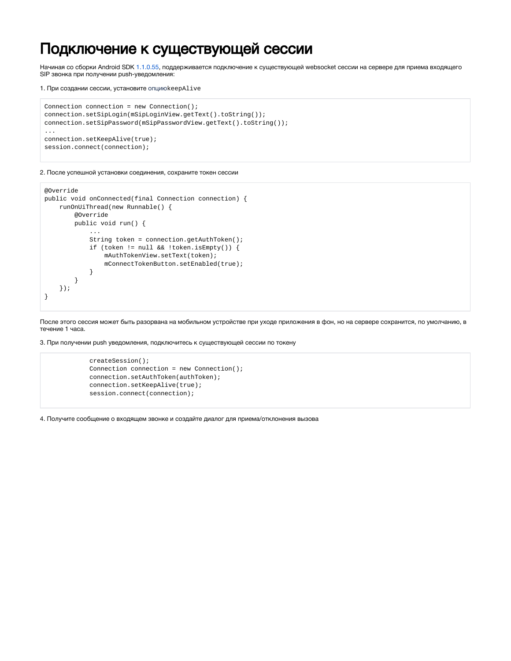## Подключение к существующей сессии

Начиная со сборки Android SDK [1.1.0.55](https://flashphoner.com/downloads/builds/flashphoner_client/wcs-android-sdk/1.1/wcs-android-sdk-1.1.0.55-fb076271d08bdd6190eef70052e27c714230c1d8.tar.gz), поддерживается подключение к существующей websocket сессии на сервере для приема входящего SIP звонка при получении push-уведомления:

1. При создании сессии, установите опциюkeepAlive

```
Connection connection = new Connection();
connection.setSipLogin(mSipLoginView.getText().toString());
connection.setSipPassword(mSipPasswordView.getText().toString());
...
connection.setKeepAlive(true);
session.connect(connection);
```
2. После успешной установки соединения, сохраните токен сессии

```
@Override
public void onConnected(final Connection connection) {
     runOnUiThread(new Runnable() {
         @Override
         public void run() {
             ...
             String token = connection.getAuthToken();
             if (token != null && !token.isEmpty()) {
                 mAuthTokenView.setText(token);
                  mConnectTokenButton.setEnabled(true);
             }
         }
     });
}
```
После этого сессия может быть разорвана на мобильном устройстве при уходе приложения в фон, но на сервере сохранится, по умолчанию, в течение 1 часа.

3. При получении push уведомления, подключитесь к существующей сессии по токену

```
 createSession();
 Connection connection = new Connection();
 connection.setAuthToken(authToken);
 connection.setKeepAlive(true);
 session.connect(connection);
```
4. Получите сообщение о входящем звонке и создайте диалог для приема/отклонения вызова